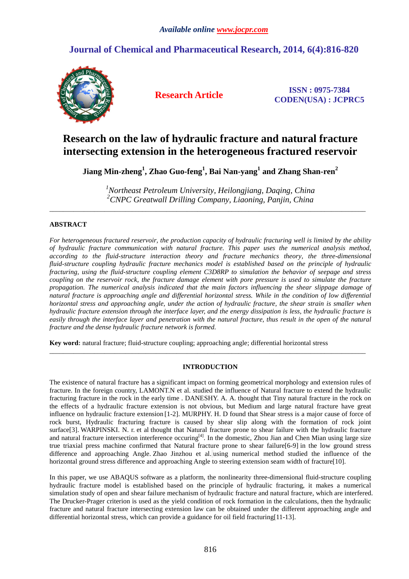## **Journal of Chemical and Pharmaceutical Research, 2014, 6(4):816-820**



**Research Article ISSN : 0975-7384 CODEN(USA) : JCPRC5**

# **Research on the law of hydraulic fracture and natural fracture intersecting extension in the heterogeneous fractured reservoir**

**Jiang Min-zheng<sup>1</sup> , Zhao Guo-feng<sup>1</sup> , Bai Nan-yang<sup>1</sup> and Zhang Shan-ren<sup>2</sup>**

*<sup>1</sup>Northeast Petroleum University, Heilongjiang, Daqing, China <sup>2</sup>CNPC Greatwall Drilling Company, Liaoning, Panjin, China* 

\_\_\_\_\_\_\_\_\_\_\_\_\_\_\_\_\_\_\_\_\_\_\_\_\_\_\_\_\_\_\_\_\_\_\_\_\_\_\_\_\_\_\_\_\_\_\_\_\_\_\_\_\_\_\_\_\_\_\_\_\_\_\_\_\_\_\_\_\_\_\_\_\_\_\_\_\_\_\_\_\_\_\_\_\_\_\_\_\_\_\_\_

## **ABSTRACT**

*For heterogeneous fractured reservoir, the production capacity of hydraulic fracturing well is limited by the ability of hydraulic fracture communication with natural fracture. This paper uses the numerical analysis method, according to the fluid-structure interaction theory and fracture mechanics theory, the three-dimensional fluid-structure coupling hydraulic fracture mechanics model is established based on the principle of hydraulic fracturing, using the fluid-structure coupling element C3D8RP to simulation the behavior of seepage and stress coupling on the reservoir rock, the fracture damage element with pore pressure is used to simulate the fracture propagation. The numerical analysis indicated that the main factors influencing the shear slippage damage of natural fracture is approaching angle and differential horizontal stress. While in the condition of low differential horizontal stress and approaching angle, under the action of hydraulic fracture, the shear strain is smaller when hydraulic fracture extension through the interface layer, and the energy dissipation is less, the hydraulic fracture is easily through the interface layer and penetration with the natural fracture, thus result in the open of the natural fracture and the dense hydraulic fracture network is formed.* 

**Key word:** natural fracture; fluid-structure coupling; approaching angle; differential horizontal stress

## **INTRODUCTION**

\_\_\_\_\_\_\_\_\_\_\_\_\_\_\_\_\_\_\_\_\_\_\_\_\_\_\_\_\_\_\_\_\_\_\_\_\_\_\_\_\_\_\_\_\_\_\_\_\_\_\_\_\_\_\_\_\_\_\_\_\_\_\_\_\_\_\_\_\_\_\_\_\_\_\_\_\_\_\_\_\_\_\_\_\_\_\_\_\_\_\_\_

The existence of natural fracture has a significant impact on forming geometrical morphology and extension rules of fracture. In the foreign country, LAMONT.N et al. studied the influence of Natural fracture to extend the hydraulic fracturing fracture in the rock in the early time . DANESHY. A. A. thought that Tiny natural fracture in the rock on the effects of a hydraulic fracture extension is not obvious, but Medium and large natural fracture have great influence on hydraulic fracture extension [1-2]. MURPHY. H. D found that Shear stress is a major cause of force of rock burst, Hydraulic fracturing fracture is caused by shear slip along with the formation of rock joint surface[3]. WARPINSKI. N. r. et al thought that Natural fracture prone to shear failure with the hydraulic fracture and natural fracture intersection interference occuring<sup>[4]</sup>. In the domestic, Zhou Jian and Chen Mian using large size true triaxial press machine confirmed that Natural fracture prone to shear failure[6-9] in the low ground stress difference and approaching Angle. Zhao Jinzhou et al. using numerical method studied the influence of the horizontal ground stress difference and approaching Angle to steering extension seam width of fracture[10].

In this paper, we use ABAQUS software as a platform, the nonlinearity three-dimensional fluid-structure coupling hydraulic fracture model is established based on the principle of hydraulic fracturing, it makes a numerical simulation study of open and shear failure mechanism of hydraulic fracture and natural fracture, which are interfered. The Drucker-Prager criterion is used as the yield condition of rock formation in the calculations, then the hydraulic fracture and natural fracture intersecting extension law can be obtained under the different approaching angle and differential horizontal stress, which can provide a guidance for oil field fracturing[11-13].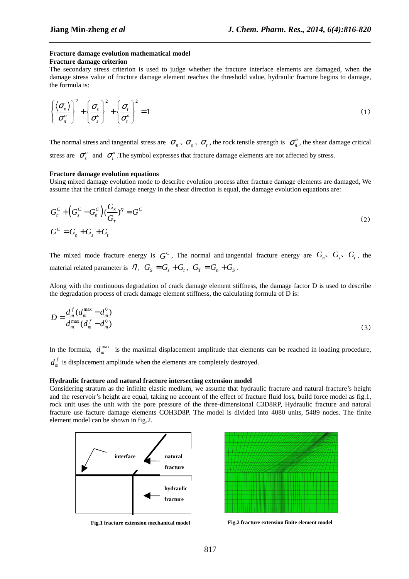## **Fracture damage evolution mathematical model**

#### **Fracture damage criterion**

The secondary stress criterion is used to judge whether the fracture interface elements are damaged, when the damage stress value of fracture damage element reaches the threshold value, hydraulic fracture begins to damage, the formula is:

*\_\_\_\_\_\_\_\_\_\_\_\_\_\_\_\_\_\_\_\_\_\_\_\_\_\_\_\_\_\_\_\_\_\_\_\_\_\_\_\_\_\_\_\_\_\_\_\_\_\_\_\_\_\_\_\_\_\_\_\_\_\_\_\_\_\_\_\_\_\_\_\_\_\_\_\_\_\_*

$$
\left\{\frac{\langle \sigma_n \rangle}{\sigma_n^o} \right\}^2 + \left\{\frac{\sigma_s}{\sigma_s^o} \right\}^2 + \left\{\frac{\sigma_t}{\sigma_t^o} \right\}^2 = 1
$$
\n(1)

The normal stress and tangential stress are  $\sigma_n$ ,  $\sigma_s$ ,  $\sigma_t$ , the rock tensile strength is  $\sigma_n^o$ , the shear damage critical stress are  $\sigma_s^o$  and  $\sigma_t^o$ . The symbol expresses that fracture damage elements are not affected by stress.

#### **Fracture damage evolution equations**

Using mixed damage evolution mode to describe evolution process after fracture damage elements are damaged, We assume that the critical damage energy in the shear direction is equal, the damage evolution equations are:

$$
G_n^C + \left(G_s^C - G_n^C\right)\left(\frac{G_s}{G_r}\right)^{\eta} = G^C
$$
  
\n
$$
G^C = G_n + G_s + G_t
$$
\n(2)

The mixed mode fracture energy is  $G^c$ , The normal and tangential fracture energy are  $G_n$ ,  $G_s$ ,  $G_t$ , the material related parameter is  $\eta$ ,  $G_s = G_s + G_t$ ,  $G_T = G_n + G_s$ .

Along with the continuous degradation of crack damage element stiffness, the damage factor D is used to describe the degradation process of crack damage element stiffness, the calculating formula of D is:

$$
D = \frac{d_m^f (d_m^{\max} - d_m^0)}{d_m^{\max} (d_m^f - d_m^0)}
$$
(3)

In the formula,  $d_m^{\max}$  is the maximal displacement amplitude that elements can be reached in loading procedure, *f*  $d<sub>m</sub><sup>f</sup>$  is displacement amplitude when the elements are completely destroyed.

#### **Hydraulic fracture and natural fracture intersecting extension model**

Considering stratum as the infinite elastic medium, we assume that hydraulic fracture and natural fracture's height and the reservoir's height are equal, taking no account of the effect of fracture fluid loss, build force model as fig.1, rock unit uses the unit with the pore pressure of the three-dimensional C3D8RP, Hydraulic fracture and natural fracture use facture damage elements COH3D8P. The model is divided into 4080 units, 5489 nodes. The finite element model can be shown in fig.2.



**Fig.1 fracture extension mechanical model** 

**Fig.2 fracture extension finite element model**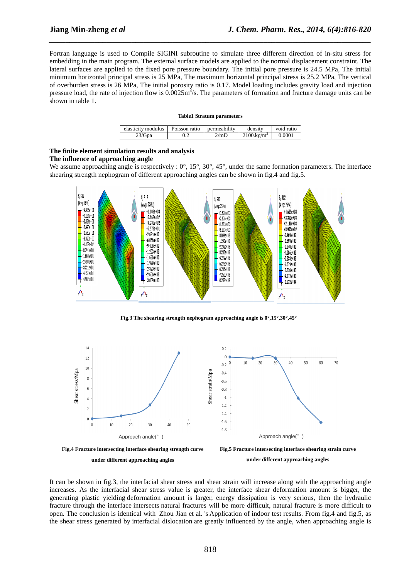Fortran language is used to Compile SIGINI subroutine to simulate three different direction of in-situ stress for embedding in the main program. The external surface models are applied to the normal displacement constraint. The lateral surfaces are applied to the fixed pore pressure boundary. The initial pore pressure is 24.5 MPa, The initial minimum horizontal principal stress is 25 MPa, The maximum horizontal principal stress is 25.2 MPa, The vertical of overburden stress is 26 MPa, The initial porosity ratio is 0.17. Model loading includes gravity load and injection pressure load, the rate of injection flow is  $0.0025 \text{m}^3/\text{s}$ . The parameters of formation and fracture damage units can be shown in table 1.

*\_\_\_\_\_\_\_\_\_\_\_\_\_\_\_\_\_\_\_\_\_\_\_\_\_\_\_\_\_\_\_\_\_\_\_\_\_\_\_\_\_\_\_\_\_\_\_\_\_\_\_\_\_\_\_\_\_\_\_\_\_\_\_\_\_\_\_\_\_\_\_\_\_\_\_\_\_\_*

|  |  | <b>Table1 Stratum parameters</b> |
|--|--|----------------------------------|
|--|--|----------------------------------|

| elasticity modulus | Poisson ratio | permeability | density               | void ratio |
|--------------------|---------------|--------------|-----------------------|------------|
| 23/Gpa             |               | 2/mD         | $2100 \text{ kg/m}^3$ | 0.0001     |

#### **The finite element simulation results and analysis**

#### **The influence of approaching angle**

We assume approaching angle is respectively :  $0^\circ$ ,  $15^\circ$ ,  $30^\circ$ ,  $45^\circ$ , under the same formation parameters. The interface shearing strength nephogram of different approaching angles can be shown in fig.4 and fig.5.



**Fig.3 The shearing strength nephogram approaching angle is 0°,15°,30°,45°** 



It can be shown in fig.3, the interfacial shear stress and shear strain will increase along with the approaching angle increases. As the interfacial shear stress value is greater, the interface shear deformation amount is bigger, the generating plastic yielding deformation amount is larger, energy dissipation is very serious, then the hydraulic fracture through the interface intersects natural fractures will be more difficult, natural fracture is more difficult to open. The conclusion is identical with Zhou Jian et al. 's Application of indoor test results. From fig.4 and fig.5, as the shear stress generated by interfacial dislocation are greatly influenced by the angle, when approaching angle is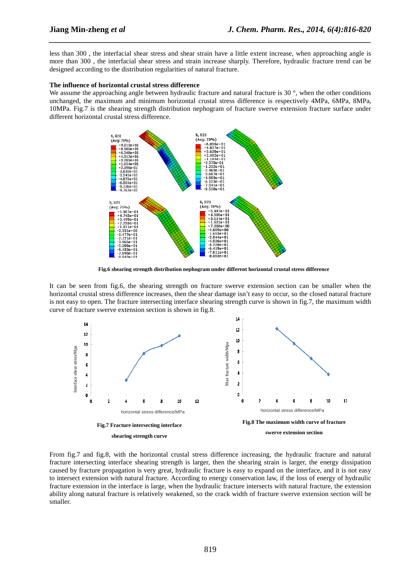less than 300 , the interfacial shear stress and shear strain have a little extent increase, when approaching angle is more than 300 , the interfacial shear stress and strain increase sharply. Therefore, hydraulic fracture trend can be designed according to the distribution regularities of natural fracture.

*\_\_\_\_\_\_\_\_\_\_\_\_\_\_\_\_\_\_\_\_\_\_\_\_\_\_\_\_\_\_\_\_\_\_\_\_\_\_\_\_\_\_\_\_\_\_\_\_\_\_\_\_\_\_\_\_\_\_\_\_\_\_\_\_\_\_\_\_\_\_\_\_\_\_\_\_\_\_*

#### **The influence of horizontal crustal stress difference**

We assume the approaching angle between hydraulic fracture and natural fracture is 30 °, when the other conditions unchanged, the maximum and minimum horizontal crustal stress difference is respectively 4MPa, 6MPa, 8MPa, 10MPa. Fig.7 is the shearing strength distribution nephogram of fracture swerve extension fracture surface under different horizontal crustal stress difference.



**Fig.6 shearing strength distribution nephogram under different horizontal crustal stress difference**

It can be seen from fig.6, the shearing strength on fracture swerve extension section can be smaller when the horizontal crustal stress difference increases, then the shear damage isn't easy to occur, so the closed natural fracture is not easy to open. The fracture intersecting interface shearing strength curve is shown in fig.7, the maximum width curve of fracture swerve extension section is shown in fig.8.



From fig.7 and fig.8, with the horizontal crustal stress difference increasing, the hydraulic fracture and natural fracture intersecting interface shearing strength is larger, then the shearing strain is larger, the energy dissipation caused by fracture propagation is very great, hydraulic fracture is easy to expand on the interface, and it is not easy to intersect extension with natural fracture. According to energy conservation law, if the loss of energy of hydraulic fracture extension in the interface is large, when the hydraulic fracture intersects with natural fracture, the extension ability along natural fracture is relatively weakened, so the crack width of fracture swerve extension section will be smaller.